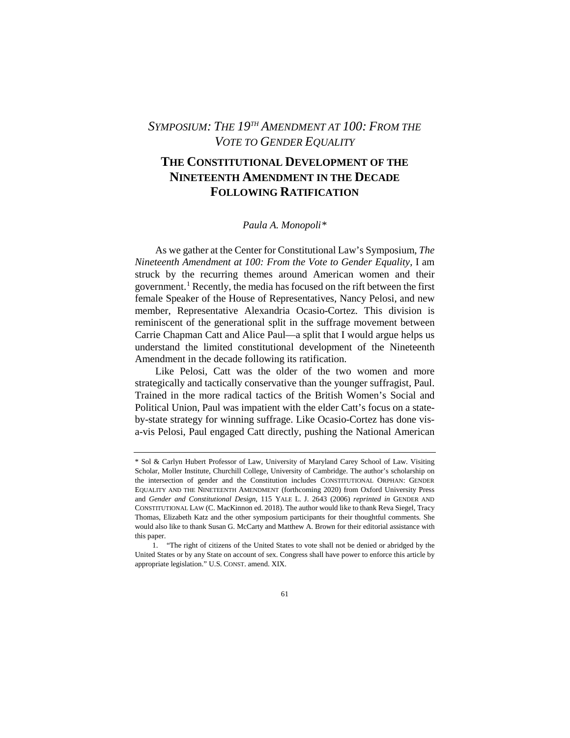## *SYMPOSIUM: THE 19TH AMENDMENT AT 100: FROM THE VOTE TO GENDER EQUALITY*

# **THE CONSTITUTIONAL DEVELOPMENT OF THE NINETEENTH AMENDMENT IN THE DECADE FOLLOWING RATIFICATION**

### *Paula A. Monopoli[\\*](#page-0-0)*

As we gather at the Center for Constitutional Law's Symposium, *The Nineteenth Amendment at 100: From the Vote to Gender Equality,* I am struck by the recurring themes around American women and their government.<sup>[1](#page-0-1)</sup> Recently, the media has focused on the rift between the first female Speaker of the House of Representatives, Nancy Pelosi, and new member, Representative Alexandria Ocasio-Cortez. This division is reminiscent of the generational split in the suffrage movement between Carrie Chapman Catt and Alice Paul—a split that I would argue helps us understand the limited constitutional development of the Nineteenth Amendment in the decade following its ratification.

Like Pelosi, Catt was the older of the two women and more strategically and tactically conservative than the younger suffragist, Paul. Trained in the more radical tactics of the British Women's Social and Political Union, Paul was impatient with the elder Catt's focus on a stateby-state strategy for winning suffrage. Like Ocasio-Cortez has done visa-vis Pelosi, Paul engaged Catt directly, pushing the National American

<span id="page-0-0"></span><sup>\*</sup> Sol & Carlyn Hubert Professor of Law, University of Maryland Carey School of Law. Visiting Scholar, Moller Institute, Churchill College, University of Cambridge. The author's scholarship on the intersection of gender and the Constitution includes CONSTITUTIONAL ORPHAN: GENDER EQUALITY AND THE NINETEENTH AMENDMENT (forthcoming 2020) from Oxford University Press and *Gender and Constitutional Design*, 115 YALE L. J. 2643 (2006) *reprinted in* GENDER AND CONSTITUTIONAL LAW (C. MacKinnon ed. 2018). The author would like to thank Reva Siegel, Tracy Thomas, Elizabeth Katz and the other symposium participants for their thoughtful comments. She would also like to thank Susan G. McCarty and Matthew A. Brown for their editorial assistance with this paper.

<span id="page-0-1"></span><sup>1. &</sup>quot;The right of citizens of the United States to vote shall not be denied or abridged by the United States or by any State on account of sex. Congress shall have power to enforce this article by appropriate legislation." U.S. CONST. amend. XIX.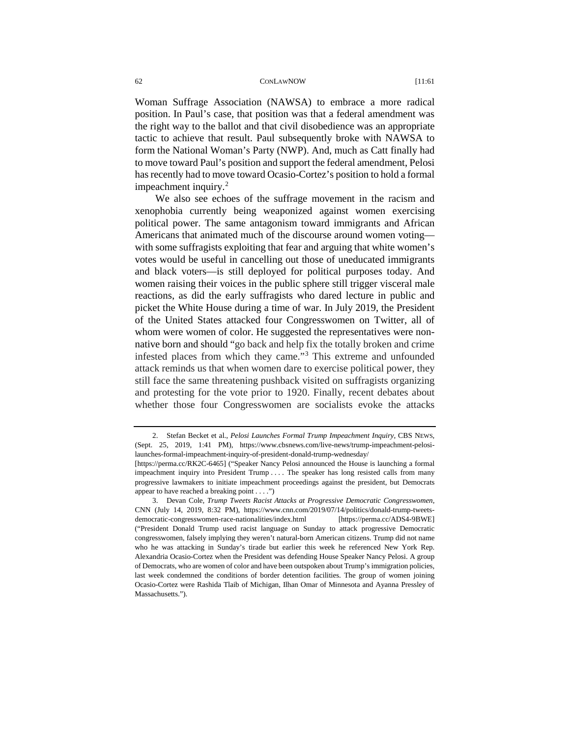Woman Suffrage Association (NAWSA) to embrace a more radical position. In Paul's case, that position was that a federal amendment was the right way to the ballot and that civil disobedience was an appropriate tactic to achieve that result. Paul subsequently broke with NAWSA to form the National Woman's Party (NWP). And, much as Catt finally had to move toward Paul's position and support the federal amendment, Pelosi has recently had to move toward Ocasio-Cortez's position to hold a formal impeachment inquiry. $^{2}$  $^{2}$  $^{2}$ 

We also see echoes of the suffrage movement in the racism and xenophobia currently being weaponized against women exercising political power. The same antagonism toward immigrants and African Americans that animated much of the discourse around women voting with some suffragists exploiting that fear and arguing that white women's votes would be useful in cancelling out those of uneducated immigrants and black voters—is still deployed for political purposes today. And women raising their voices in the public sphere still trigger visceral male reactions, as did the early suffragists who dared lecture in public and picket the White House during a time of war. In July 2019, the President of the United States attacked four Congresswomen on Twitter, all of whom were women of color. He suggested the representatives were nonnative born and should "go back and help fix the totally broken and crime infested places from which they came."[3](#page-1-1) This extreme and unfounded attack reminds us that when women dare to exercise political power, they still face the same threatening pushback visited on suffragists organizing and protesting for the vote prior to 1920. Finally, recent debates about whether those four Congresswomen are socialists evoke the attacks

<span id="page-1-0"></span><sup>2.</sup> Stefan Becket et al., *Pelosi Launches Formal Trump Impeachment Inquiry*, CBS NEWS, (Sept. 25, 2019, 1:41 PM), [https://www.cbsnews.com/live-news/trump-impeachment-pelosi](https://www.cbsnews.com/live-news/trump-impeachment-pelosi-launches-formal-impeachment-inquiry-of-president-donald-trump-wednesday/)[launches-formal-impeachment-inquiry-of-president-donald-trump-wednesday/](https://www.cbsnews.com/live-news/trump-impeachment-pelosi-launches-formal-impeachment-inquiry-of-president-donald-trump-wednesday/)

<sup>[</sup>https://perma.cc/RK2C-6465] ("Speaker Nancy Pelosi announced the House is launching [a formal](https://www.cbsnews.com/news/what-is-impeachment-of-a-president-and-how-does-it-work/)  [impeachment inquiry into President Trump](https://www.cbsnews.com/news/what-is-impeachment-of-a-president-and-how-does-it-work/) . . . . The speaker has long resisted calls from many progressive lawmakers to initiate impeachment proceedings against the president, but Democrats appear to have reached a breaking point . . . .")

<span id="page-1-1"></span><sup>3.</sup> Devan Cole, *Trump Tweets Racist Attacks at Progressive Democratic Congresswomen*, CNN (July 14, 2019, 8:32 PM), [https://www.cnn.com/2019/07/14/politics/donald-trump-tweets](https://www.cnn.com/%E2%80%8C2019/07/14/politics/donald-trump-tweets-democratic-congresswomen-race-nationalities/index.html)[democratic-congresswomen-race-nationalities/index.html](https://www.cnn.com/%E2%80%8C2019/07/14/politics/donald-trump-tweets-democratic-congresswomen-race-nationalities/index.html) [\[https://perma.cc/ADS4-9BWE\]](https://perma.cc/ADS4-9BWE)  (["President Donald Trump used racist language on Sunday to attack](https://twitter.com/realDonaldTrump/status/1150381394234941448) progressive Democratic congresswomen, falsely implying they weren't natural-born American citizens. Trump did not name who he was attacking in Sunday's tirade but earlier this week he referenced New York Rep. Alexandria Ocasio-Cortez when the President was defending House Speaker Nancy Pelosi. A group of Democrats, who are women of color and have been outspoken about Trump's immigration policies, last week condemned the conditions of border detention facilities. The group of women joining Ocasio-Cortez were Rashida Tlaib of Michigan, Ilhan Omar of Minnesota and Ayanna Pressley of Massachusetts.").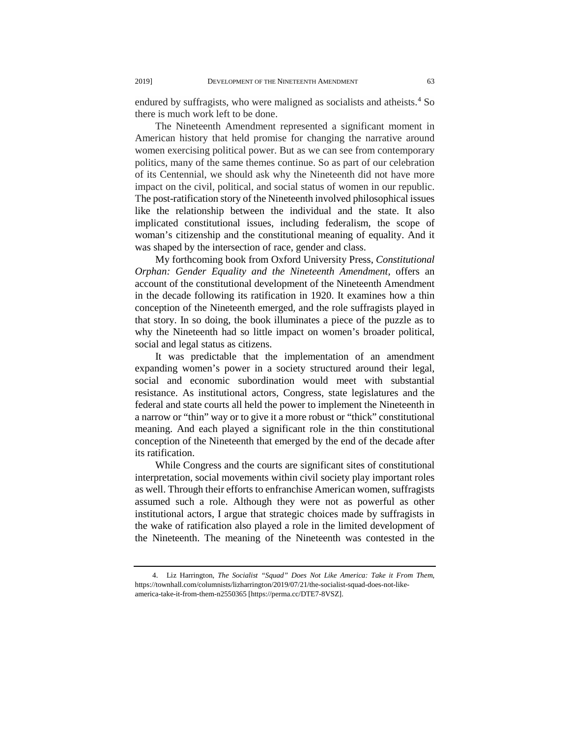endured by suffragists, who were maligned as socialists and atheists.<sup>[4](#page-2-0)</sup> So there is much work left to be done.

The Nineteenth Amendment represented a significant moment in American history that held promise for changing the narrative around women exercising political power. But as we can see from contemporary politics, many of the same themes continue. So as part of our celebration of its Centennial, we should ask why the Nineteenth did not have more impact on the civil, political, and social status of women in our republic. The post-ratification story of the Nineteenth involved philosophical issues like the relationship between the individual and the state. It also implicated constitutional issues, including federalism, the scope of woman's citizenship and the constitutional meaning of equality. And it was shaped by the intersection of race, gender and class.

My forthcoming book from Oxford University Press, *Constitutional Orphan: Gender Equality and the Nineteenth Amendment,* offers an account of the constitutional development of the Nineteenth Amendment in the decade following its ratification in 1920. It examines how a thin conception of the Nineteenth emerged, and the role suffragists played in that story. In so doing, the book illuminates a piece of the puzzle as to why the Nineteenth had so little impact on women's broader political, social and legal status as citizens.

It was predictable that the implementation of an amendment expanding women's power in a society structured around their legal, social and economic subordination would meet with substantial resistance. As institutional actors, Congress, state legislatures and the federal and state courts all held the power to implement the Nineteenth in a narrow or "thin" way or to give it a more robust or "thick" constitutional meaning. And each played a significant role in the thin constitutional conception of the Nineteenth that emerged by the end of the decade after its ratification.

While Congress and the courts are significant sites of constitutional interpretation, social movements within civil society play important roles as well. Through their efforts to enfranchise American women, suffragists assumed such a role. Although they were not as powerful as other institutional actors, I argue that strategic choices made by suffragists in the wake of ratification also played a role in the limited development of the Nineteenth. The meaning of the Nineteenth was contested in the

<span id="page-2-0"></span><sup>4.</sup> Liz Harrington, *The Socialist "Squad" Does Not Like America: Take it From Them*, [https://townhall.com/columnists/lizharrington/2019/07/21/the-socialist-squad-does-not-like](https://townhall.com/columnists/lizharrington/2019/07/21/the-socialist-squad-does-not-like-america-take-it-from-them-n2550365)[america-take-it-from-them-n2550365](https://townhall.com/columnists/lizharrington/2019/07/21/the-socialist-squad-does-not-like-america-take-it-from-them-n2550365) [\[https://perma.cc/DTE7-8VSZ\]](https://perma.cc/DTE7-8VSZ).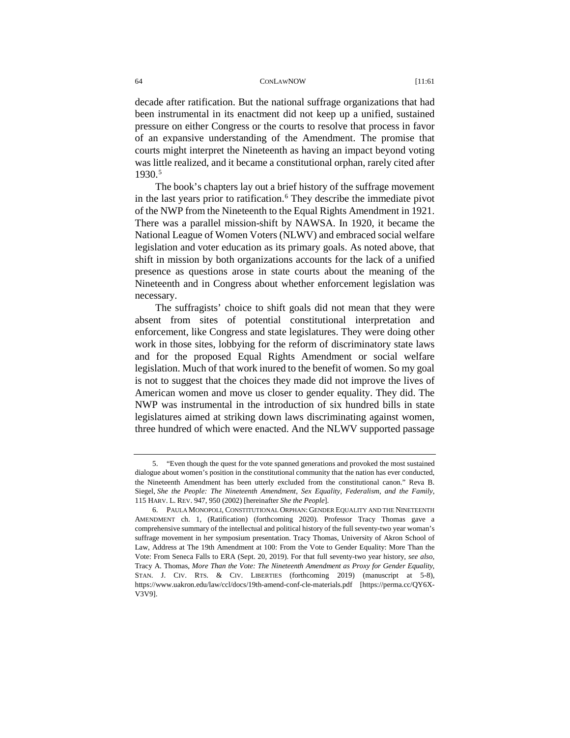decade after ratification. But the national suffrage organizations that had been instrumental in its enactment did not keep up a unified, sustained pressure on either Congress or the courts to resolve that process in favor of an expansive understanding of the Amendment. The promise that courts might interpret the Nineteenth as having an impact beyond voting was little realized, and it became a constitutional orphan, rarely cited after 1930.[5](#page-3-0)

The book's chapters lay out a brief history of the suffrage movement in the last years prior to ratification.<sup>[6](#page-3-1)</sup> They describe the immediate pivot of the NWP from the Nineteenth to the Equal Rights Amendment in 1921. There was a parallel mission-shift by NAWSA. In 1920, it became the National League of Women Voters (NLWV) and embraced social welfare legislation and voter education as its primary goals. As noted above, that shift in mission by both organizations accounts for the lack of a unified presence as questions arose in state courts about the meaning of the Nineteenth and in Congress about whether enforcement legislation was necessary.

The suffragists' choice to shift goals did not mean that they were absent from sites of potential constitutional interpretation and enforcement, like Congress and state legislatures. They were doing other work in those sites, lobbying for the reform of discriminatory state laws and for the proposed Equal Rights Amendment or social welfare legislation. Much of that work inured to the benefit of women. So my goal is not to suggest that the choices they made did not improve the lives of American women and move us closer to gender equality. They did. The NWP was instrumental in the introduction of six hundred bills in state legislatures aimed at striking down laws discriminating against women, three hundred of which were enacted. And the NLWV supported passage

<span id="page-3-0"></span><sup>5. &</sup>quot;Even though the quest for the vote spanned generations and provoked the most sustained dialogue about women's position in the constitutional community that the nation has ever conducted, the Nineteenth Amendment has been utterly excluded from the constitutional canon." Reva B. Siegel, *She the People: The Nineteenth Amendment, Sex Equality, Federalism, and the Family*, 115 HARV. L. REV. 947, 950 (2002) [hereinafter *She the People*].

<span id="page-3-1"></span><sup>6.</sup> PAULA MONOPOLI, CONSTITUTIONAL ORPHAN: GENDER EQUALITY AND THE NINETEENTH AMENDMENT ch. 1, (Ratification) (forthcoming 2020). Professor Tracy Thomas gave a comprehensive summary of the intellectual and political history of the full seventy-two year woman's suffrage movement in her symposium presentation. Tracy Thomas, University of Akron School of Law, Address at The 19th Amendment at 100: From the Vote to Gender Equality: More Than the Vote: From Seneca Falls to ERA (Sept. 20, 2019). For that full seventy-two year history, *see also,* Tracy A. Thomas, *More Than the Vote: The Nineteenth Amendment as Proxy for Gender Equality*, STAN. J. CIV. RTS. & CIV. LIBERTIES (forthcoming 2019) (manuscript at 5-8), <https://www.uakron.edu/law/ccl/docs/19th-amend-conf-cle-materials.pdf> [https://perma.cc/QY6X-V3V9].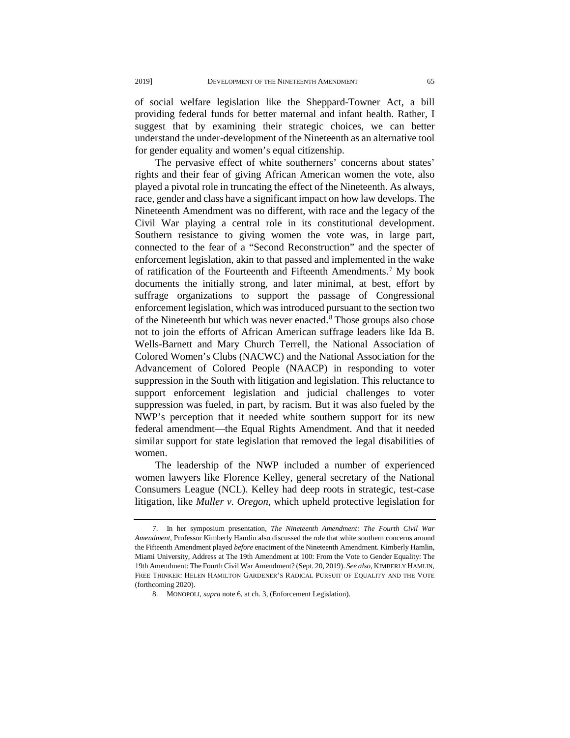of social welfare legislation like the Sheppard-Towner Act, a bill providing federal funds for better maternal and infant health. Rather, I suggest that by examining their strategic choices, we can better understand the under-development of the Nineteenth as an alternative tool for gender equality and women's equal citizenship.

The pervasive effect of white southerners' concerns about states' rights and their fear of giving African American women the vote, also played a pivotal role in truncating the effect of the Nineteenth. As always, race, gender and class have a significant impact on how law develops. The Nineteenth Amendment was no different, with race and the legacy of the Civil War playing a central role in its constitutional development. Southern resistance to giving women the vote was, in large part, connected to the fear of a "Second Reconstruction" and the specter of enforcement legislation, akin to that passed and implemented in the wake of ratification of the Fourteenth and Fifteenth Amendments.[7](#page-4-0) My book documents the initially strong, and later minimal, at best, effort by suffrage organizations to support the passage of Congressional enforcement legislation, which was introduced pursuant to the section two of the Nineteenth but which was never enacted. [8](#page-4-1) Those groups also chose not to join the efforts of African American suffrage leaders like Ida B. Wells-Barnett and Mary Church Terrell, the National Association of Colored Women's Clubs (NACWC) and the National Association for the Advancement of Colored People (NAACP) in responding to voter suppression in the South with litigation and legislation. This reluctance to support enforcement legislation and judicial challenges to voter suppression was fueled, in part, by racism. But it was also fueled by the NWP's perception that it needed white southern support for its new federal amendment—the Equal Rights Amendment. And that it needed similar support for state legislation that removed the legal disabilities of women.

The leadership of the NWP included a number of experienced women lawyers like Florence Kelley, general secretary of the National Consumers League (NCL). Kelley had deep roots in strategic, test-case litigation, like *Muller v. Oregon*, which upheld protective legislation for

<span id="page-4-1"></span><span id="page-4-0"></span><sup>7.</sup> In her symposium presentation, *The Nineteenth Amendment: The Fourth Civil War Amendment*, Professor Kimberly Hamlin also discussed the role that white southern concerns around the Fifteenth Amendment played *before* enactment of the Nineteenth Amendment. Kimberly Hamlin, Miami University, Address at The 19th Amendment at 100: From the Vote to Gender Equality: The 19th Amendment: The Fourth Civil War Amendment? (Sept. 20, 2019). *See also*, KIMBERLY HAMLIN, FREE THINKER: HELEN HAMILTON GARDENER'S RADICAL PURSUIT OF EQUALITY AND THE VOTE (forthcoming 2020).

<sup>8.</sup> MONOPOLI, *supra* note 6, at ch. 3, (Enforcement Legislation).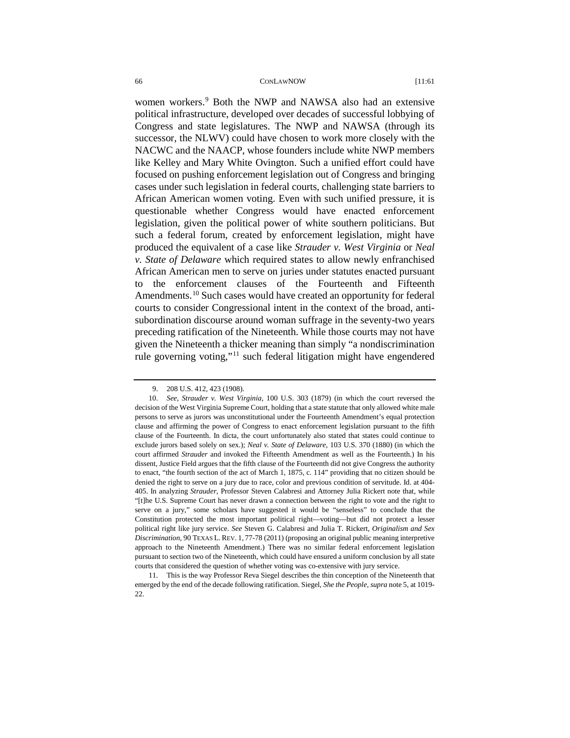women workers.<sup>[9](#page-5-0)</sup> Both the NWP and NAWSA also had an extensive political infrastructure, developed over decades of successful lobbying of Congress and state legislatures. The NWP and NAWSA (through its successor, the NLWV) could have chosen to work more closely with the NACWC and the NAACP, whose founders include white NWP members like Kelley and Mary White Ovington. Such a unified effort could have focused on pushing enforcement legislation out of Congress and bringing cases under such legislation in federal courts, challenging state barriers to African American women voting. Even with such unified pressure, it is questionable whether Congress would have enacted enforcement legislation, given the political power of white southern politicians. But such a federal forum, created by enforcement legislation, might have produced the equivalent of a case like *Strauder v. West Virginia* or *Neal v. State of Delaware* which required states to allow newly enfranchised African American men to serve on juries under statutes enacted pursuant to the enforcement clauses of the Fourteenth and Fifteenth Amendments.<sup>[10](#page-5-1)</sup> Such cases would have created an opportunity for federal courts to consider Congressional intent in the context of the broad, antisubordination discourse around woman suffrage in the seventy-two years preceding ratification of the Nineteenth. While those courts may not have given the Nineteenth a thicker meaning than simply "a nondiscrimination rule governing voting,"<sup>[11](#page-5-2)</sup> such federal litigation might have engendered

<sup>9.</sup> 208 U.S. 412, 423 (1908).

<span id="page-5-1"></span><span id="page-5-0"></span><sup>10.</sup> *See, Strauder v. West Virginia*, 100 U.S. 303 (1879) (in which the court reversed the decision of the West Virginia Supreme Court, holding that a state statute that only allowed white male persons to serve as jurors was unconstitutional under the Fourteenth Amendment's equal protection clause and affirming the power of Congress to enact enforcement legislation pursuant to the fifth clause of the Fourteenth. In dicta, the court unfortunately also stated that states could continue to exclude jurors based solely on sex.); *Neal v. State of Delaware*, 103 U.S. 370 (1880) (in which the court affirmed *Strauder* and invoked the Fifteenth Amendment as well as the Fourteenth.) In his dissent, Justice Field argues that the fifth clause of the Fourteenth did not give Congress the authority to enact, "the fourth section of the act of March 1, 1875, c. 114" providing that no citizen should be denied the right to serve on a jury due to race, color and previous condition of servitude. Id. at 404- 405. In analyzing *Strauder*, Professor Steven Calabresi and Attorney Julia Rickert note that, while "[t]he U.S. Supreme Court has never drawn a connection between the right to vote and the right to serve on a jury," some scholars have suggested it would be "senseless" to conclude that the Constitution protected the most important political right—voting—but did not protect a lesser political right like jury service. *See* Steven G. Calabresi and Julia T. Rickert, *Originalism and Sex Discrimination*, 90 TEXAS L. REV. 1, 77-78 (2011) (proposing an original public meaning interpretive approach to the Nineteenth Amendment.) There was no similar federal enforcement legislation pursuant to section two of the Nineteenth, which could have ensured a uniform conclusion by all state courts that considered the question of whether voting was co-extensive with jury service.

<span id="page-5-2"></span><sup>11.</sup> This is the way Professor Reva Siegel describes the thin conception of the Nineteenth that emerged by the end of the decade following ratification. Siegel, *She the People*, *supra* note 5, at 1019-  $22.2$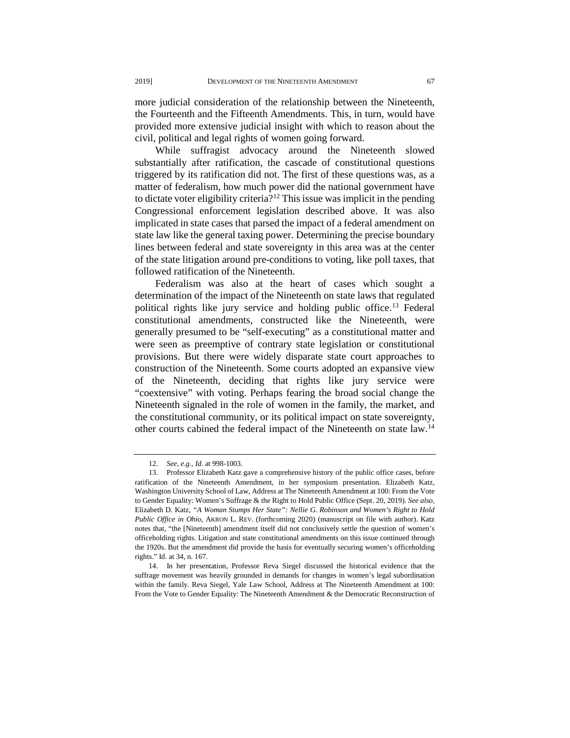more judicial consideration of the relationship between the Nineteenth, the Fourteenth and the Fifteenth Amendments. This, in turn, would have provided more extensive judicial insight with which to reason about the civil, political and legal rights of women going forward.

While suffragist advocacy around the Nineteenth slowed substantially after ratification, the cascade of constitutional questions triggered by its ratification did not. The first of these questions was, as a matter of federalism, how much power did the national government have to dictate voter eligibility criteria?<sup>[12](#page-6-0)</sup> This issue was implicit in the pending Congressional enforcement legislation described above. It was also implicated in state cases that parsed the impact of a federal amendment on state law like the general taxing power. Determining the precise boundary lines between federal and state sovereignty in this area was at the center of the state litigation around pre-conditions to voting, like poll taxes, that followed ratification of the Nineteenth.

Federalism was also at the heart of cases which sought a determination of the impact of the Nineteenth on state laws that regulated political rights like jury service and holding public office.<sup>13</sup> Federal constitutional amendments, constructed like the Nineteenth, were generally presumed to be "self-executing" as a constitutional matter and were seen as preemptive of contrary state legislation or constitutional provisions. But there were widely disparate state court approaches to construction of the Nineteenth. Some courts adopted an expansive view of the Nineteenth, deciding that rights like jury service were "coextensive" with voting. Perhaps fearing the broad social change the Nineteenth signaled in the role of women in the family, the market, and the constitutional community, or its political impact on state sovereignty, other courts cabined the federal impact of the Nineteenth on state law.[14](#page-6-2)

<sup>12.</sup> *See, e.g.*, *Id*. at 998-1003.

<span id="page-6-1"></span><span id="page-6-0"></span><sup>13.</sup> Professor Elizabeth Katz gave a comprehensive history of the public office cases, before ratification of the Nineteenth Amendment, in her symposium presentation. Elizabeth Katz, Washington University School of Law, Address at The Nineteenth Amendment at 100: From the Vote to Gender Equality: Women's Suffrage & the Right to Hold Public Office (Sept. 20, 2019). *See also,* Elizabeth D. Katz, *"A Woman Stumps Her State": Nellie G. Robinson and Women's Right to Hold Public Office in Ohio*, AKRON L. REV. (forthcoming 2020) (manuscript on file with author). Katz notes that, "the [Nineteenth] amendment itself did not conclusively settle the question of women's officeholding rights. Litigation and state constitutional amendments on this issue continued through the 1920s. But the amendment did provide the basis for eventually securing women's officeholding rights." Id. at 34, n. 167.

<span id="page-6-2"></span><sup>14.</sup> In her presentation, Professor Reva Siegel discussed the historical evidence that the suffrage movement was heavily grounded in demands for changes in women's legal subordination within the family. Reva Siegel, Yale Law School, Address at The Nineteenth Amendment at 100: From the Vote to Gender Equality: The Nineteenth Amendment & the Democratic Reconstruction of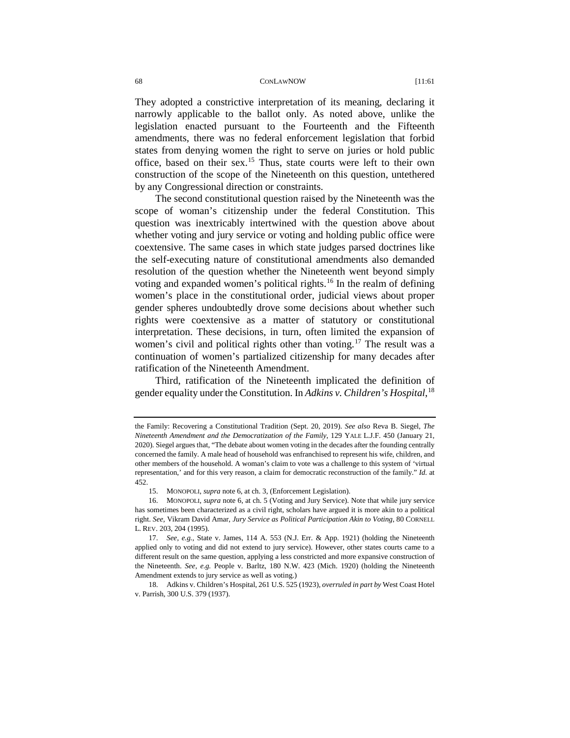They adopted a constrictive interpretation of its meaning, declaring it narrowly applicable to the ballot only. As noted above, unlike the legislation enacted pursuant to the Fourteenth and the Fifteenth amendments, there was no federal enforcement legislation that forbid states from denying women the right to serve on juries or hold public office, based on their sex.[15](#page-7-0) Thus, state courts were left to their own construction of the scope of the Nineteenth on this question, untethered by any Congressional direction or constraints.

The second constitutional question raised by the Nineteenth was the scope of woman's citizenship under the federal Constitution. This question was inextricably intertwined with the question above about whether voting and jury service or voting and holding public office were coextensive. The same cases in which state judges parsed doctrines like the self-executing nature of constitutional amendments also demanded resolution of the question whether the Nineteenth went beyond simply voting and expanded women's political rights. [16](#page-7-1) In the realm of defining women's place in the constitutional order, judicial views about proper gender spheres undoubtedly drove some decisions about whether such rights were coextensive as a matter of statutory or constitutional interpretation. These decisions, in turn, often limited the expansion of women's civil and political rights other than voting.<sup>[17](#page-7-2)</sup> The result was a continuation of women's partialized citizenship for many decades after ratification of the Nineteenth Amendment.

Third, ratification of the Nineteenth implicated the definition of gender equality under the Constitution. In *Adkins v. Children's Hospital*, [18](#page-7-3)

the Family: Recovering a Constitutional Tradition (Sept. 20, 2019). *See also* Reva B. Siegel, *The Nineteenth Amendment and the Democratization of the Family*, 129 YALE L.J.F. 450 (January 21, 2020). Siegel argues that, "The debate about women voting in the decades after the founding centrally concerned the family. A male head of household was enfranchised to represent his wife, children, and other members of the household. A woman's claim to vote was a challenge to this system of 'virtual representation,' and for this very reason, a claim for democratic reconstruction of the family." *Id.* at 452.

<sup>15.</sup> MONOPOLI, *supra* note 6, at ch. 3, (Enforcement Legislation).

<span id="page-7-1"></span><span id="page-7-0"></span><sup>16.</sup> MONOPOLI, *supra* note 6, at ch. 5 (Voting and Jury Service). Note that while jury service has sometimes been characterized as a civil right, scholars have argued it is more akin to a political right. *See,* Vikram David Amar, *Jury Service as Political Participation Akin to Voting*, 80 CORNELL L. REV. 203, 204 (1995).

<span id="page-7-2"></span><sup>17.</sup> *See, e.g.,* State v. James, 114 A. 553 (N.J. Err. & App. 1921) (holding the Nineteenth applied only to voting and did not extend to jury service). However, other states courts came to a different result on the same question, applying a less constricted and more expansive construction of the Nineteenth. *See, e.g.* People v. Barltz*,* 180 N.W. 423 (Mich. 1920) (holding the Nineteenth Amendment extends to jury service as well as voting.)

<span id="page-7-3"></span><sup>18.</sup> Adkins v. Children's Hospital, 261 U.S. 525 (1923), *overruled in part by* West Coast Hotel v. Parrish, 300 U.S. 379 (1937).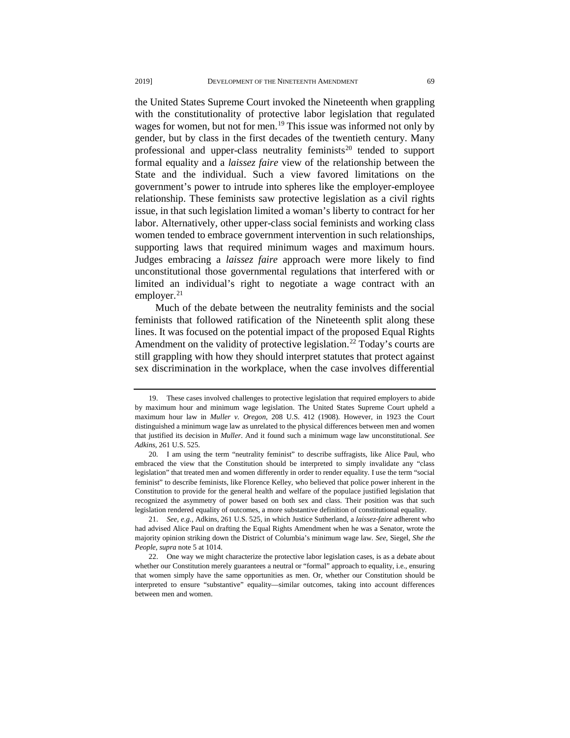the United States Supreme Court invoked the Nineteenth when grappling with the constitutionality of protective labor legislation that regulated wages for women, but not for men.<sup>[19](#page-8-0)</sup> This issue was informed not only by gender, but by class in the first decades of the twentieth century. Many professional and upper-class neutrality feminists<sup>[20](#page-8-1)</sup> tended to support formal equality and a *laissez faire* view of the relationship between the State and the individual. Such a view favored limitations on the government's power to intrude into spheres like the employer-employee relationship. These feminists saw protective legislation as a civil rights issue, in that such legislation limited a woman's liberty to contract for her labor. Alternatively, other upper-class social feminists and working class women tended to embrace government intervention in such relationships, supporting laws that required minimum wages and maximum hours. Judges embracing a *laissez faire* approach were more likely to find unconstitutional those governmental regulations that interfered with or limited an individual's right to negotiate a wage contract with an employer. $^{21}$ 

Much of the debate between the neutrality feminists and the social feminists that followed ratification of the Nineteenth split along these lines. It was focused on the potential impact of the proposed Equal Rights Amendment on the validity of protective legislation.<sup>22</sup> Today's courts are still grappling with how they should interpret statutes that protect against sex discrimination in the workplace, when the case involves differential

<span id="page-8-0"></span>These cases involved challenges to protective legislation that required employers to abide by maximum hour and minimum wage legislation. The United States Supreme Court upheld a maximum hour law in *Muller v. Oregon*, 208 U.S. 412 (1908). However, in 1923 the Court distinguished a minimum wage law as unrelated to the physical differences between men and women that justified its decision in *Muller*. And it found such a minimum wage law unconstitutional. *See Adkins*, 261 U.S. 525.

<span id="page-8-1"></span><sup>20.</sup> I am using the term "neutrality feminist" to describe suffragists, like Alice Paul, who embraced the view that the Constitution should be interpreted to simply invalidate any "class legislation" that treated men and women differently in order to render equality. I use the term "social feminist" to describe feminists, like Florence Kelley, who believed that police power inherent in the Constitution to provide for the general health and welfare of the populace justified legislation that recognized the asymmetry of power based on both sex and class. Their position was that such legislation rendered equality of outcomes, a more substantive definition of constitutional equality.

<span id="page-8-2"></span><sup>21.</sup> *See, e.g.,* Adkins, 261 U.S. 525, in which Justice Sutherland, a *laissez-faire* adherent who had advised Alice Paul on drafting the Equal Rights Amendment when he was a Senator, wrote the majority opinion striking down the District of Columbia's minimum wage law*. See,* Siegel, *She the People*, *supra* note 5 at 1014.

<span id="page-8-3"></span><sup>22.</sup> One way we might characterize the protective labor legislation cases, is as a debate about whether our Constitution merely guarantees a neutral or "formal" approach to equality, i.e., ensuring that women simply have the same opportunities as men. Or, whether our Constitution should be interpreted to ensure "substantive" equality—similar outcomes, taking into account differences between men and women.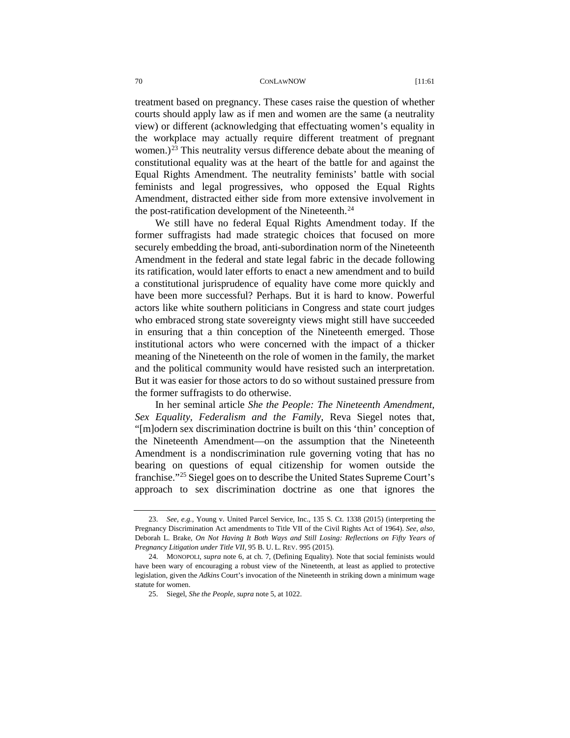treatment based on pregnancy. These cases raise the question of whether courts should apply law as if men and women are the same (a neutrality view) or different (acknowledging that effectuating women's equality in the workplace may actually require different treatment of pregnant women.)<sup>[23](#page-9-0)</sup> This neutrality versus difference debate about the meaning of constitutional equality was at the heart of the battle for and against the Equal Rights Amendment. The neutrality feminists' battle with social feminists and legal progressives, who opposed the Equal Rights Amendment, distracted either side from more extensive involvement in the post-ratification development of the Nineteenth.<sup>[24](#page-9-1)</sup>

We still have no federal Equal Rights Amendment today. If the former suffragists had made strategic choices that focused on more securely embedding the broad, anti-subordination norm of the Nineteenth Amendment in the federal and state legal fabric in the decade following its ratification, would later efforts to enact a new amendment and to build a constitutional jurisprudence of equality have come more quickly and have been more successful? Perhaps. But it is hard to know. Powerful actors like white southern politicians in Congress and state court judges who embraced strong state sovereignty views might still have succeeded in ensuring that a thin conception of the Nineteenth emerged. Those institutional actors who were concerned with the impact of a thicker meaning of the Nineteenth on the role of women in the family, the market and the political community would have resisted such an interpretation. But it was easier for those actors to do so without sustained pressure from the former suffragists to do otherwise.

In her seminal article *She the People: The Nineteenth Amendment, Sex Equality, Federalism and the Family*, Reva Siegel notes that, "[m]odern sex discrimination doctrine is built on this 'thin' conception of the Nineteenth Amendment—on the assumption that the Nineteenth Amendment is a nondiscrimination rule governing voting that has no bearing on questions of equal citizenship for women outside the franchise.["25](#page-9-2) Siegel goes on to describe the United States Supreme Court's approach to sex discrimination doctrine as one that ignores the

<span id="page-9-0"></span><sup>23.</sup> *See, e.g.,* Young v. United Parcel Service, Inc., 135 S. Ct. 1338 (2015) (interpreting the Pregnancy Discrimination Act amendments to Title VII of the Civil Rights Act of 1964). *See, also,* Deborah L. Brake, *On Not Having It Both Ways and Still Losing: Reflections on Fifty Years of Pregnancy Litigation under Title VII,* 95 B. U. L. REV. 995 (2015).

<span id="page-9-2"></span><span id="page-9-1"></span><sup>24.</sup> MONOPOLI, *supra* note 6, at ch. 7, (Defining Equality). Note that social feminists would have been wary of encouraging a robust view of the Nineteenth, at least as applied to protective legislation, given the *Adkins* Court's invocation of the Nineteenth in striking down a minimum wage statute for women.

<sup>25.</sup> Siegel, *She the People, supra* note 5, at 1022.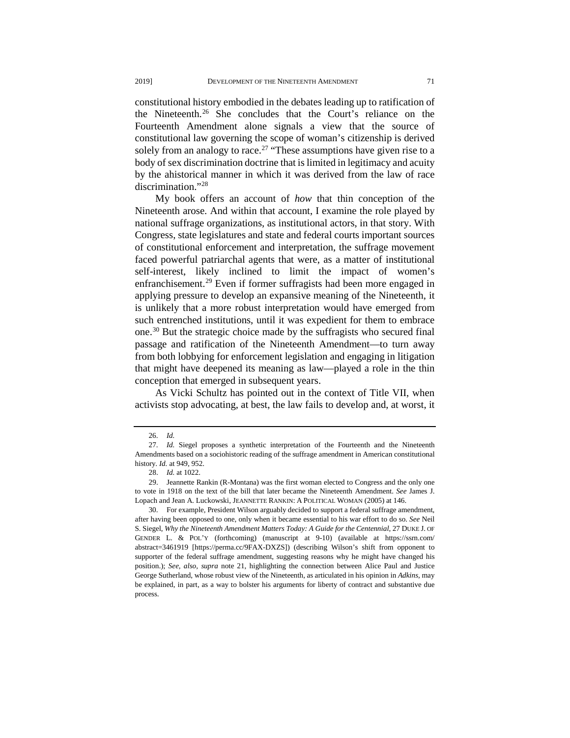constitutional history embodied in the debates leading up to ratification of the Nineteenth.[26](#page-10-0) She concludes that the Court's reliance on the Fourteenth Amendment alone signals a view that the source of constitutional law governing the scope of woman's citizenship is derived solely from an analogy to race.<sup>[27](#page-10-1)</sup> "These assumptions have given rise to a body of sex discrimination doctrine that is limited in legitimacy and acuity by the ahistorical manner in which it was derived from the law of race discrimination."[28](#page-10-2)

My book offers an account of *how* that thin conception of the Nineteenth arose. And within that account, I examine the role played by national suffrage organizations, as institutional actors, in that story. With Congress, state legislatures and state and federal courts important sources of constitutional enforcement and interpretation, the suffrage movement faced powerful patriarchal agents that were, as a matter of institutional self-interest, likely inclined to limit the impact of women's enfranchisement.<sup>[29](#page-10-3)</sup> Even if former suffragists had been more engaged in applying pressure to develop an expansive meaning of the Nineteenth, it is unlikely that a more robust interpretation would have emerged from such entrenched institutions, until it was expedient for them to embrace one.[30](#page-10-4) But the strategic choice made by the suffragists who secured final passage and ratification of the Nineteenth Amendment—to turn away from both lobbying for enforcement legislation and engaging in litigation that might have deepened its meaning as law—played a role in the thin conception that emerged in subsequent years.

As Vicki Schultz has pointed out in the context of Title VII, when activists stop advocating, at best, the law fails to develop and, at worst, it

<sup>26.</sup> *Id.*

<span id="page-10-1"></span><span id="page-10-0"></span><sup>27.</sup> *Id.* Siegel proposes a synthetic interpretation of the Fourteenth and the Nineteenth Amendments based on a sociohistoric reading of the suffrage amendment in American constitutional history. *Id.* at 949, 952.

<sup>28.</sup> *Id.* at 1022.

<span id="page-10-3"></span><span id="page-10-2"></span><sup>29.</sup> Jeannette Rankin (R-Montana) was the first woman elected to Congress and the only one to vote in 1918 on the text of the bill that later became the Nineteenth Amendment. *See* James J. Lopach and Jean A. Luckowski, JEANNETTE RANKIN: A POLITICAL WOMAN (2005) at 146.

<span id="page-10-4"></span><sup>30.</sup> For example, President Wilson arguably decided to support a federal suffrage amendment, after having been opposed to one, only when it became essential to his war effort to do so. *See* Neil S. Siegel, *Why the Nineteenth Amendment Matters Today: A Guide for the Centennial*, 27 DUKE J. OF GENDER L. & POL'Y (forthcoming) (manuscript at 9-10) (available at [https://ssrn.com/](https://ssrn.com/abstract=3461919) [abstract=3461919](https://ssrn.com/abstract=3461919) [\[https://perma.cc/9FAX-DXZS\]\)](https://perma.cc/9FAX-DXZS) (describing Wilson's shift from opponent to supporter of the federal suffrage amendment, suggesting reasons why he might have changed his position.); *See, also, supra* note 21, highlighting the connection between Alice Paul and Justice George Sutherland, whose robust view of the Nineteenth, as articulated in his opinion in *Adkins*, may be explained, in part, as a way to bolster his arguments for liberty of contract and substantive due process.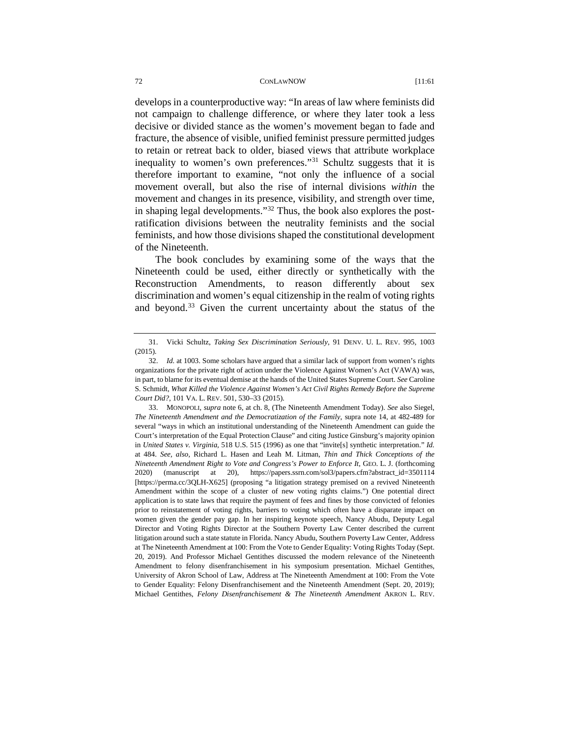develops in a counterproductive way: "In areas of law where feminists did not campaign to challenge difference, or where they later took a less decisive or divided stance as the women's movement began to fade and fracture, the absence of visible, unified feminist pressure permitted judges to retain or retreat back to older, biased views that attribute workplace inequality to women's own preferences."<sup>[31](#page-11-0)</sup> Schultz suggests that it is therefore important to examine, "not only the influence of a social movement overall, but also the rise of internal divisions *within* the movement and changes in its presence, visibility, and strength over time, in shaping legal developments."[32](#page-11-1) Thus, the book also explores the postratification divisions between the neutrality feminists and the social feminists, and how those divisions shaped the constitutional development of the Nineteenth.

The book concludes by examining some of the ways that the Nineteenth could be used, either directly or synthetically with the Reconstruction Amendments, to reason differently about sex discrimination and women's equal citizenship in the realm of voting rights and beyond. [33](#page-11-2) Given the current uncertainty about the status of the

<span id="page-11-0"></span><sup>31.</sup> Vicki Schultz, *Taking Sex Discrimination Seriously*, 91 DENV. U. L. REV. 995, 1003 (2015).

<span id="page-11-1"></span><sup>32.</sup> *Id.* at 1003. Some scholars have argued that a similar lack of support from women's rights organizations for the private right of action under the Violence Against Women's Act (VAWA) was, in part, to blame for its eventual demise at the hands of the United States Supreme Court. *See* Caroline S. Schmidt, *What Killed the Violence Against Women's Act Civil Rights Remedy Before the Supreme Court Did?*, 101 VA. L. REV. 501, 530–33 (2015).

<span id="page-11-2"></span><sup>33.</sup> MONOPOLI, *supra* note 6, at ch. 8, (The Nineteenth Amendment Today). *See* also Siegel, *The Nineteenth Amendment and the Democratization of the Family*, supra note 14, at 482-489 for several "ways in which an institutional understanding of the Nineteenth Amendment can guide the Court's interpretation of the Equal Protection Clause" and citing Justice Ginsburg's majority opinion in *United States v. Virginia*, 518 U.S. 515 (1996) as one that "invite[s] synthetic interpretation." *Id.* at 484. *See, also,* Richard L. Hasen and Leah M. Litman, *Thin and Thick Conceptions of the Nineteenth Amendment Right to Vote and Congress's Power to Enforce It*, GEO. L. J. (forthcoming 2020) (manuscript at 20), [https://papers.ssrn.com/sol3/papers.cfm?abstract\\_id=3501114](https://papers.ssrn.com/sol3/papers.cfm?abstract_id=3501114) [\[https://perma.cc/3QLH-X625\]](https://perma.cc/3QLH-X625) (proposing "a litigation strategy premised on a revived Nineteenth Amendment within the scope of a cluster of new voting rights claims.") One potential direct application is to state laws that require the payment of fees and fines by those convicted of felonies prior to reinstatement of voting rights, barriers to voting which often have a disparate impact on women given the gender pay gap. In her inspiring keynote speech, Nancy Abudu, Deputy Legal Director and Voting Rights Director at the Southern Poverty Law Center described the current litigation around such a state statute in Florida. Nancy Abudu, Southern Poverty Law Center, Address at The Nineteenth Amendment at 100: From the Vote to Gender Equality: Voting Rights Today (Sept. 20, 2019). And Professor Michael Gentithes discussed the modern relevance of the Nineteenth Amendment to felony disenfranchisement in his symposium presentation. Michael Gentithes, University of Akron School of Law, Address at The Nineteenth Amendment at 100: From the Vote to Gender Equality: Felony Disenfranchisement and the Nineteenth Amendment (Sept. 20, 2019); Michael Gentithes, *Felony Disenfranchisement & The Nineteenth Amendment* AKRON L. REV.